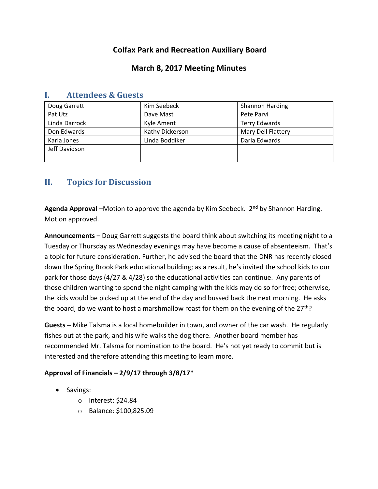# **Colfax Park and Recreation Auxiliary Board**

## **March 8, 2017 Meeting Minutes**

| Doug Garrett  | Kim Seebeck     | <b>Shannon Harding</b> |
|---------------|-----------------|------------------------|
| Pat Utz       | Dave Mast       | Pete Parvi             |
| Linda Darrock | Kyle Ament      | <b>Terry Edwards</b>   |
| Don Edwards   | Kathy Dickerson | Mary Dell Flattery     |
| Karla Jones   | Linda Boddiker  | Darla Edwards          |
| Jeff Davidson |                 |                        |
|               |                 |                        |

### **I. Attendees & Guests**

# **II. Topics for Discussion**

**Agenda Approval –**Motion to approve the agenda by Kim Seebeck. 2nd by Shannon Harding. Motion approved.

**Announcements –** Doug Garrett suggests the board think about switching its meeting night to a Tuesday or Thursday as Wednesday evenings may have become a cause of absenteeism. That's a topic for future consideration. Further, he advised the board that the DNR has recently closed down the Spring Brook Park educational building; as a result, he's invited the school kids to our park for those days (4/27 & 4/28) so the educational activities can continue. Any parents of those children wanting to spend the night camping with the kids may do so for free; otherwise, the kids would be picked up at the end of the day and bussed back the next morning. He asks the board, do we want to host a marshmallow roast for them on the evening of the  $27<sup>th</sup>$ ?

**Guests –** Mike Talsma is a local homebuilder in town, and owner of the car wash. He regularly fishes out at the park, and his wife walks the dog there. Another board member has recommended Mr. Talsma for nomination to the board. He's not yet ready to commit but is interested and therefore attending this meeting to learn more.

#### **Approval of Financials – 2/9/17 through 3/8/17\***

- Savings:
	- o Interest: \$24.84
	- o Balance: \$100,825.09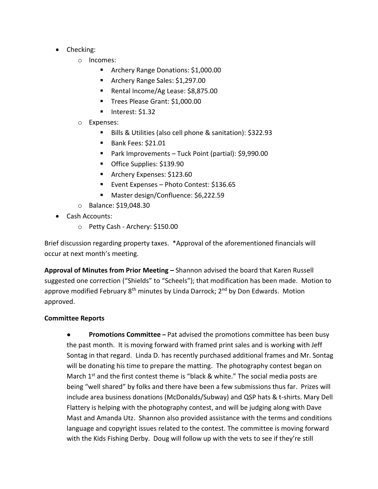- Checking:
	- o Incomes:
		- **Archery Range Donations: \$1,000.00**
		- **Archery Range Sales: \$1,297.00**
		- Rental Income/Ag Lease: \$8,875.00
		- Trees Please Grant: \$1,000.00
		- $\blacksquare$  Interest: \$1.32
	- o Expenses:
		- Bills & Utilities (also cell phone & sanitation): \$322.93
		- Bank Fees: \$21.01
		- Park Improvements Tuck Point (partial): \$9,990.00
		- Office Supplies: \$139.90
		- **Archery Expenses: \$123.60**
		- Event Expenses Photo Contest: \$136.65
		- Master design/Confluence: \$6,222.59
	- o Balance: \$19,048.30
- Cash Accounts:
	- o Petty Cash Archery: \$150.00

Brief discussion regarding property taxes. \*Approval of the aforementioned financials will occur at next month's meeting.

**Approval of Minutes from Prior Meeting –** Shannon advised the board that Karen Russell suggested one correction ("Shields" to "Scheels"); that modification has been made. Motion to approve modified February 8<sup>th</sup> minutes by Linda Darrock; 2<sup>nd</sup> by Don Edwards. Motion approved.

#### **Committee Reports**

● **Promotions Committee –** Pat advised the promotions committee has been busy the past month. It is moving forward with framed print sales and is working with Jeff Sontag in that regard. Linda D. has recently purchased additional frames and Mr. Sontag will be donating his time to prepare the matting. The photography contest began on March 1<sup>st</sup> and the first contest theme is "black & white." The social media posts are being "well shared" by folks and there have been a few submissions thus far. Prizes will include area business donations (McDonalds/Subway) and QSP hats & t-shirts. Mary Dell Flattery is helping with the photography contest, and will be judging along with Dave Mast and Amanda Utz. Shannon also provided assistance with the terms and conditions language and copyright issues related to the contest. The committee is moving forward with the Kids Fishing Derby. Doug will follow up with the vets to see if they're still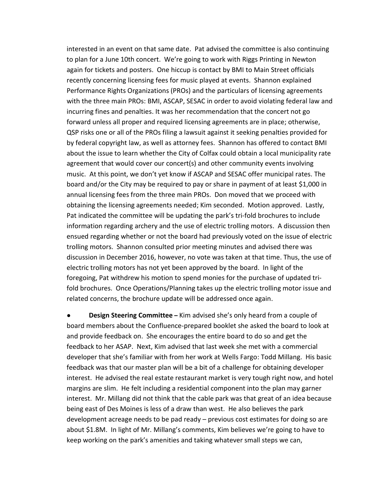interested in an event on that same date. Pat advised the committee is also continuing to plan for a June 10th concert. We're going to work with Riggs Printing in Newton again for tickets and posters. One hiccup is contact by BMI to Main Street officials recently concerning licensing fees for music played at events. Shannon explained Performance Rights Organizations (PROs) and the particulars of licensing agreements with the three main PROs: BMI, ASCAP, SESAC in order to avoid violating federal law and incurring fines and penalties. It was her recommendation that the concert not go forward unless all proper and required licensing agreements are in place; otherwise, QSP risks one or all of the PROs filing a lawsuit against it seeking penalties provided for by federal copyright law, as well as attorney fees. Shannon has offered to contact BMI about the issue to learn whether the City of Colfax could obtain a local municipality rate agreement that would cover our concert(s) and other community events involving music. At this point, we don't yet know if ASCAP and SESAC offer municipal rates. The board and/or the City may be required to pay or share in payment of at least \$1,000 in annual licensing fees from the three main PROs. Don moved that we proceed with obtaining the licensing agreements needed; Kim seconded. Motion approved. Lastly, Pat indicated the committee will be updating the park's tri-fold brochures to include information regarding archery and the use of electric trolling motors. A discussion then ensued regarding whether or not the board had previously voted on the issue of electric trolling motors. Shannon consulted prior meeting minutes and advised there was discussion in December 2016, however, no vote was taken at that time. Thus, the use of electric trolling motors has not yet been approved by the board. In light of the foregoing, Pat withdrew his motion to spend monies for the purchase of updated trifold brochures. Once Operations/Planning takes up the electric trolling motor issue and related concerns, the brochure update will be addressed once again.

**Design Steering Committee** – Kim advised she's only heard from a couple of board members about the Confluence-prepared booklet she asked the board to look at and provide feedback on. She encourages the entire board to do so and get the feedback to her ASAP. Next, Kim advised that last week she met with a commercial developer that she's familiar with from her work at Wells Fargo: Todd Millang. His basic feedback was that our master plan will be a bit of a challenge for obtaining developer interest. He advised the real estate restaurant market is very tough right now, and hotel margins are slim. He felt including a residential component into the plan may garner interest. Mr. Millang did not think that the cable park was that great of an idea because being east of Des Moines is less of a draw than west. He also believes the park development acreage needs to be pad ready – previous cost estimates for doing so are about \$1.8M. In light of Mr. Millang's comments, Kim believes we're going to have to keep working on the park's amenities and taking whatever small steps we can,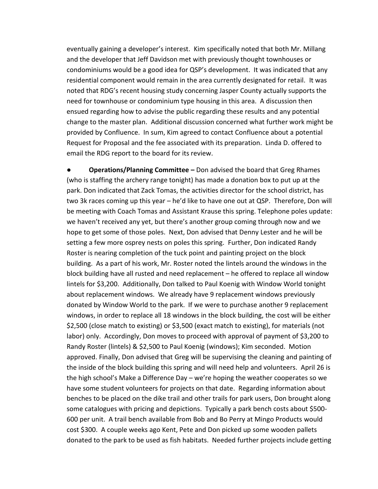eventually gaining a developer's interest. Kim specifically noted that both Mr. Millang and the developer that Jeff Davidson met with previously thought townhouses or condominiums would be a good idea for QSP's development. It was indicated that any residential component would remain in the area currently designated for retail. It was noted that RDG's recent housing study concerning Jasper County actually supports the need for townhouse or condominium type housing in this area. A discussion then ensued regarding how to advise the public regarding these results and any potential change to the master plan. Additional discussion concerned what further work might be provided by Confluence. In sum, Kim agreed to contact Confluence about a potential Request for Proposal and the fee associated with its preparation. Linda D. offered to email the RDG report to the board for its review.

**● Operations/Planning Committee –** Don advised the board that Greg Rhames (who is staffing the archery range tonight) has made a donation box to put up at the park. Don indicated that Zack Tomas, the activities director for the school district, has two 3k races coming up this year – he'd like to have one out at QSP. Therefore, Don will be meeting with Coach Tomas and Assistant Krause this spring. Telephone poles update: we haven't received any yet, but there's another group coming through now and we hope to get some of those poles. Next, Don advised that Denny Lester and he will be setting a few more osprey nests on poles this spring. Further, Don indicated Randy Roster is nearing completion of the tuck point and painting project on the block building. As a part of his work, Mr. Roster noted the lintels around the windows in the block building have all rusted and need replacement – he offered to replace all window lintels for \$3,200. Additionally, Don talked to Paul Koenig with Window World tonight about replacement windows. We already have 9 replacement windows previously donated by Window World to the park. If we were to purchase another 9 replacement windows, in order to replace all 18 windows in the block building, the cost will be either \$2,500 (close match to existing) or \$3,500 (exact match to existing), for materials (not labor) only. Accordingly, Don moves to proceed with approval of payment of \$3,200 to Randy Roster (lintels) & \$2,500 to Paul Koenig (windows); Kim seconded. Motion approved. Finally, Don advised that Greg will be supervising the cleaning and painting of the inside of the block building this spring and will need help and volunteers. April 26 is the high school's Make a Difference Day – we're hoping the weather cooperates so we have some student volunteers for projects on that date. Regarding information about benches to be placed on the dike trail and other trails for park users, Don brought along some catalogues with pricing and depictions. Typically a park bench costs about \$500- 600 per unit. A trail bench available from Bob and Bo Perry at Mingo Products would cost \$300. A couple weeks ago Kent, Pete and Don picked up some wooden pallets donated to the park to be used as fish habitats. Needed further projects include getting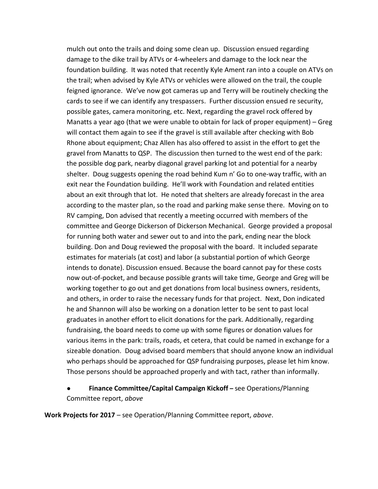mulch out onto the trails and doing some clean up. Discussion ensued regarding damage to the dike trail by ATVs or 4-wheelers and damage to the lock near the foundation building. It was noted that recently Kyle Ament ran into a couple on ATVs on the trail; when advised by Kyle ATVs or vehicles were allowed on the trail, the couple feigned ignorance. We've now got cameras up and Terry will be routinely checking the cards to see if we can identify any trespassers. Further discussion ensued re security, possible gates, camera monitoring, etc. Next, regarding the gravel rock offered by Manatts a year ago (that we were unable to obtain for lack of proper equipment) – Greg will contact them again to see if the gravel is still available after checking with Bob Rhone about equipment; Chaz Allen has also offered to assist in the effort to get the gravel from Manatts to QSP. The discussion then turned to the west end of the park: the possible dog park, nearby diagonal gravel parking lot and potential for a nearby shelter. Doug suggests opening the road behind Kum n' Go to one-way traffic, with an exit near the Foundation building. He'll work with Foundation and related entities about an exit through that lot. He noted that shelters are already forecast in the area according to the master plan, so the road and parking make sense there. Moving on to RV camping, Don advised that recently a meeting occurred with members of the committee and George Dickerson of Dickerson Mechanical. George provided a proposal for running both water and sewer out to and into the park, ending near the block building. Don and Doug reviewed the proposal with the board. It included separate estimates for materials (at cost) and labor (a substantial portion of which George intends to donate). Discussion ensued. Because the board cannot pay for these costs now out-of-pocket, and because possible grants will take time, George and Greg will be working together to go out and get donations from local business owners, residents, and others, in order to raise the necessary funds for that project. Next, Don indicated he and Shannon will also be working on a donation letter to be sent to past local graduates in another effort to elicit donations for the park. Additionally, regarding fundraising, the board needs to come up with some figures or donation values for various items in the park: trails, roads, et cetera, that could be named in exchange for a sizeable donation. Doug advised board members that should anyone know an individual who perhaps should be approached for QSP fundraising purposes, please let him know. Those persons should be approached properly and with tact, rather than informally.

## **Finance Committee/Capital Campaign Kickoff –** see Operations/Planning Committee report, *above*

**Work Projects for 2017** – see Operation/Planning Committee report, *above*.